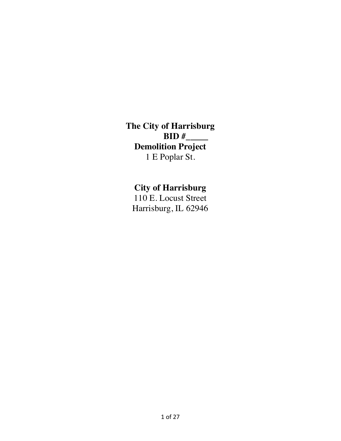**The City of Harrisburg BID #\_\_\_\_\_ Demolition Project** 1 E Poplar St.

## **City of Harrisburg**

110 E. Locust Street Harrisburg, IL 62946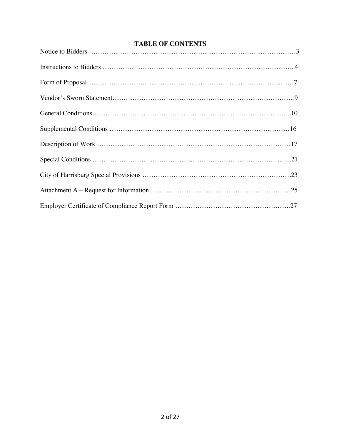## **TABLE OF CONTENTS**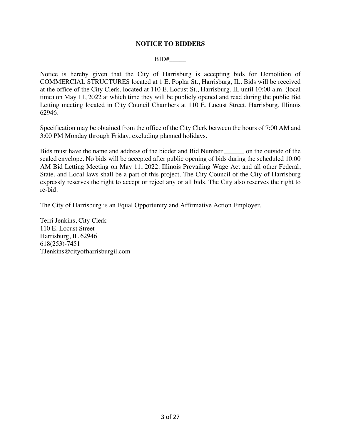#### **NOTICE TO BIDDERS**

#### $BID#$

Notice is hereby given that the City of Harrisburg is accepting bids for Demolition of COMMERCIAL STRUCTURES located at 1 E. Poplar St., Harrisburg, IL. Bids will be received at the office of the City Clerk, located at 110 E. Locust St., Harrisburg, IL until 10:00 a.m. (local time) on May 11, 2022 at which time they will be publicly opened and read during the public Bid Letting meeting located in City Council Chambers at 110 E. Locust Street, Harrisburg, Illinois 62946.

Specification may be obtained from the office of the City Clerk between the hours of 7:00 AM and 3:00 PM Monday through Friday, excluding planned holidays.

Bids must have the name and address of the bidder and Bid Number on the outside of the sealed envelope. No bids will be accepted after public opening of bids during the scheduled 10:00 AM Bid Letting Meeting on May 11, 2022. Illinois Prevailing Wage Act and all other Federal, State, and Local laws shall be a part of this project. The City Council of the City of Harrisburg expressly reserves the right to accept or reject any or all bids. The City also reserves the right to re-bid.

The City of Harrisburg is an Equal Opportunity and Affirmative Action Employer.

Terri Jenkins, City Clerk 110 E. Locust Street Harrisburg, IL 62946 618(253)-7451 TJenkins@cityofharrisburgil.com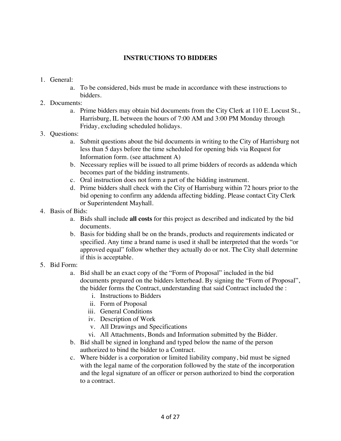## **INSTRUCTIONS TO BIDDERS**

- 1. General:
	- a. To be considered, bids must be made in accordance with these instructions to bidders.
- 2. Documents:
	- a. Prime bidders may obtain bid documents from the City Clerk at 110 E. Locust St., Harrisburg, IL between the hours of 7:00 AM and 3:00 PM Monday through Friday, excluding scheduled holidays.
- 3. Questions:
	- a. Submit questions about the bid documents in writing to the City of Harrisburg not less than 5 days before the time scheduled for opening bids via Request for Information form. (see attachment A)
	- b. Necessary replies will be issued to all prime bidders of records as addenda which becomes part of the bidding instruments.
	- c. Oral instruction does not form a part of the bidding instrument.
	- d. Prime bidders shall check with the City of Harrisburg within 72 hours prior to the bid opening to confirm any addenda affecting bidding. Please contact City Clerk or Superintendent Mayhall.
- 4. Basis of Bids:
	- a. Bids shall include **all costs** for this project as described and indicated by the bid documents.
	- b. Basis for bidding shall be on the brands, products and requirements indicated or specified. Any time a brand name is used it shall be interpreted that the words "or approved equal" follow whether they actually do or not. The City shall determine if this is acceptable.
- 5. Bid Form:
	- a. Bid shall be an exact copy of the "Form of Proposal" included in the bid documents prepared on the bidders letterhead. By signing the "Form of Proposal", the bidder forms the Contract, understanding that said Contract included the :
		- i. Instructions to Bidders
		- ii. Form of Proposal
		- iii. General Conditions
		- iv. Description of Work
		- v. All Drawings and Specifications
		- vi. All Attachments, Bonds and Information submitted by the Bidder.
	- b. Bid shall be signed in longhand and typed below the name of the person authorized to bind the bidder to a Contract.
	- c. Where bidder is a corporation or limited liability company, bid must be signed with the legal name of the corporation followed by the state of the incorporation and the legal signature of an officer or person authorized to bind the corporation to a contract.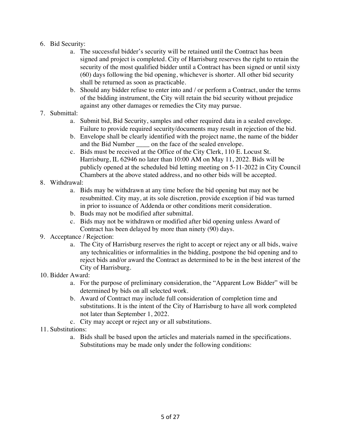- 6. Bid Security:
	- a. The successful bidder's security will be retained until the Contract has been signed and project is completed. City of Harrisburg reserves the right to retain the security of the most qualified bidder until a Contract has been signed or until sixty (60) days following the bid opening, whichever is shorter. All other bid security shall be returned as soon as practicable.
	- b. Should any bidder refuse to enter into and / or perform a Contract, under the terms of the bidding instrument, the City will retain the bid security without prejudice against any other damages or remedies the City may pursue.
- 7. Submittal:
	- a. Submit bid, Bid Security, samples and other required data in a sealed envelope. Failure to provide required security/documents may result in rejection of the bid.
	- b. Envelope shall be clearly identified with the project name, the name of the bidder and the Bid Number \_\_\_\_\_ on the face of the sealed envelope.
	- c. Bids must be received at the Office of the City Clerk, 110 E. Locust St. Harrisburg, IL 62946 no later than 10:00 AM on May 11, 2022. Bids will be publicly opened at the scheduled bid letting meeting on 5-11-2022 in City Council Chambers at the above stated address, and no other bids will be accepted.
- 8. Withdrawal:
	- a. Bids may be withdrawn at any time before the bid opening but may not be resubmitted. City may, at its sole discretion, provide exception if bid was turned in prior to issuance of Addenda or other conditions merit consideration.
	- b. Buds may not be modified after submittal.
	- c. Bids may not be withdrawn or modified after bid opening unless Award of Contract has been delayed by more than ninety (90) days.
- 9. Acceptance / Rejection:
	- a. The City of Harrisburg reserves the right to accept or reject any or all bids, waive any technicalities or informalities in the bidding, postpone the bid opening and to reject bids and/or award the Contract as determined to be in the best interest of the City of Harrisburg.
- 10. Bidder Award:
	- a. For the purpose of preliminary consideration, the "Apparent Low Bidder" will be determined by bids on all selected work.
	- b. Award of Contract may include full consideration of completion time and substitutions. It is the intent of the City of Harrisburg to have all work completed not later than September 1, 2022.
	- c. City may accept or reject any or all substitutions.
- 11. Substitutions:
	- a. Bids shall be based upon the articles and materials named in the specifications. Substitutions may be made only under the following conditions: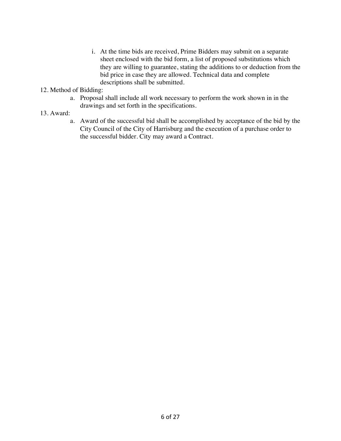- i. At the time bids are received, Prime Bidders may submit on a separate sheet enclosed with the bid form, a list of proposed substitutions which they are willing to guarantee, stating the additions to or deduction from the bid price in case they are allowed. Technical data and complete descriptions shall be submitted.
- 12. Method of Bidding:
	- a. Proposal shall include all work necessary to perform the work shown in in the drawings and set forth in the specifications.
- 13. Award:
	- a. Award of the successful bid shall be accomplished by acceptance of the bid by the City Council of the City of Harrisburg and the execution of a purchase order to the successful bidder. City may award a Contract.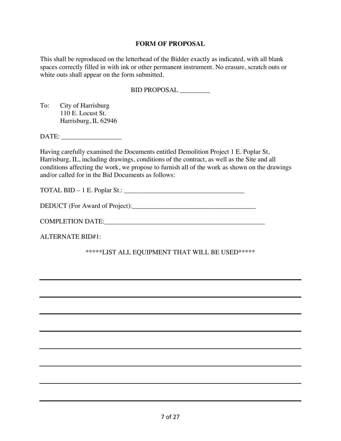#### **FORM OF PROPOSAL**

This shall be reproduced on the letterhead of the Bidder exactly as indicated, with all blank spaces correctly filled in with ink or other permanent instrument. No erasure, scratch outs or white outs shall appear on the form submitted.

BID PROPOSAL \_\_\_\_\_\_\_\_

To: City of Harrisburg 110 E. Locust St. Harrisburg, IL 62946

DATE: \_\_\_\_\_\_\_\_\_\_\_\_\_\_\_\_\_\_

Having carefully examined the Documents entitled Demolition Project 1 E. Poplar St, Harrisburg, IL, including drawings, conditions of the contract, as well as the Site and all conditions affecting the work, we propose to furnish all of the work as shown on the drawings and/or called for in the Bid Documents as follows:

TOTAL BID – 1 E. Poplar St.: \_\_\_\_\_\_\_\_\_\_\_\_\_\_\_\_\_\_\_\_\_\_\_\_\_\_\_\_\_\_\_\_\_\_\_\_

DEDUCT (For Award of Project):\_\_\_\_\_\_\_\_\_\_\_\_\_\_\_\_\_\_\_\_\_\_\_\_\_\_\_\_\_\_\_\_\_\_\_\_\_

COMPLETION DATE:\_\_\_\_\_\_\_\_\_\_\_\_\_\_\_\_\_\_\_\_\_\_\_\_\_\_\_\_\_\_\_\_\_\_\_\_\_\_\_\_\_\_\_\_\_\_\_\_

ALTERNATE BID#1:

\*\*\*\*\*LIST ALL EQUIPMENT THAT WILL BE USED\*\*\*\*\*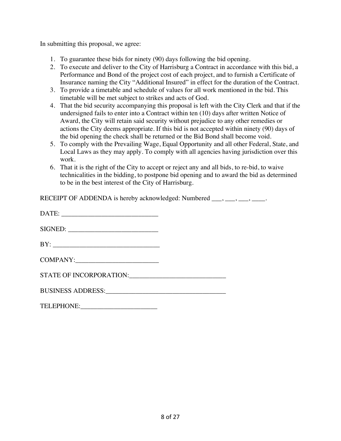In submitting this proposal, we agree:

- 1. To guarantee these bids for ninety (90) days following the bid opening.
- 2. To execute and deliver to the City of Harrisburg a Contract in accordance with this bid, a Performance and Bond of the project cost of each project, and to furnish a Certificate of Insurance naming the City "Additional Insured" in effect for the duration of the Contract.
- 3. To provide a timetable and schedule of values for all work mentioned in the bid. This timetable will be met subject to strikes and acts of God.
- 4. That the bid security accompanying this proposal is left with the City Clerk and that if the undersigned fails to enter into a Contract within ten (10) days after written Notice of Award, the City will retain said security without prejudice to any other remedies or actions the City deems appropriate. If this bid is not accepted within ninety (90) days of the bid opening the check shall be returned or the Bid Bond shall become void.
- 5. To comply with the Prevailing Wage, Equal Opportunity and all other Federal, State, and Local Laws as they may apply. To comply with all agencies having jurisdiction over this work.
- 6. That it is the right of the City to accept or reject any and all bids, to re-bid, to waive technicalities in the bidding, to postpone bid opening and to award the bid as determined to be in the best interest of the City of Harrisburg.

RECEIPT OF ADDENDA is hereby acknowledged: Numbered \_\_\_, \_\_\_, \_\_\_, \_\_\_\_.

| DATE:                                                                                                                                                                                                                          |  |
|--------------------------------------------------------------------------------------------------------------------------------------------------------------------------------------------------------------------------------|--|
| SIGNED:                                                                                                                                                                                                                        |  |
| BY:                                                                                                                                                                                                                            |  |
|                                                                                                                                                                                                                                |  |
|                                                                                                                                                                                                                                |  |
| BUSINESS ADDRESS: 2000 PERSONAL PROPERTY AND RESIDENCE AND RESIDENCE AND RESIDENCE AND RESIDENCE AND RESIDENCE AND RESIDENCE AND RESIDENCE AND RESIDENCE AND RESIDENCE AND RESIDENCE AND RESIDENCE AND RESIDENCE AND RESIDENCE |  |
| <b>TELEPHONE:</b>                                                                                                                                                                                                              |  |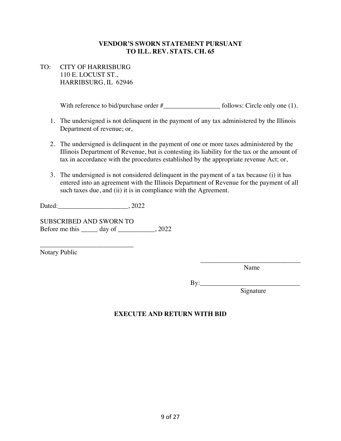## **VENDOR'S SWORN STATEMENT PURSUANT TO ILL. REV. STATS. CH. 65**

#### TO: CITY OF HARRISBURG 110 E. LOCUST ST., HARRIBSURG, IL 62946

With reference to bid/purchase order #\_\_\_\_\_\_\_\_\_\_\_\_\_\_\_\_\_ follows: Circle only one (1).

- 1. The undersigned is not delinquent in the payment of any tax administered by the Illinois Department of revenue; or,
- 2. The undersigned is delinquent in the payment of one or more taxes administered by the Illinois Department of Revenue, but is contesting its liability for the tax or the amount of tax in accordance with the procedures established by the appropriate revenue Act; or,
- 3. The undersigned is not considered delinquent in the payment of a tax because (i) it has entered into an agreement with the Illinois Department of Revenue for the payment of all such taxes due, and (ii) it is in compliance with the Agreement.

Dated: 2022

\_\_\_\_\_\_\_\_\_\_\_\_\_\_\_\_\_\_\_\_\_\_\_\_\_\_\_\_

SUBSCRIBED AND SWORN TO Before me this \_\_\_\_\_ day of \_\_\_\_\_\_\_\_\_\_\_, 2022

Notary Public

\_\_\_\_\_\_\_\_\_\_\_\_\_\_\_\_\_\_\_\_\_\_\_\_\_\_\_\_\_\_ Name

By:\_\_\_\_\_\_\_\_\_\_\_\_\_\_\_\_\_\_\_\_\_\_\_\_\_\_\_\_\_\_

Signature

## **EXECUTE AND RETURN WITH BID**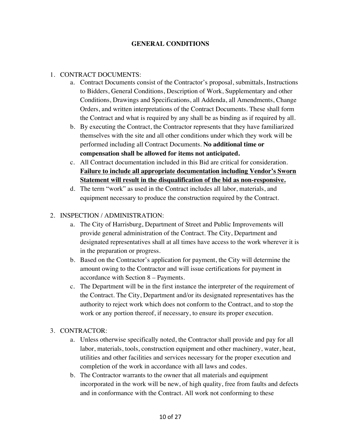#### **GENERAL CONDITIONS**

#### 1. CONTRACT DOCUMENTS:

- a. Contract Documents consist of the Contractor's proposal, submittals, Instructions to Bidders, General Conditions, Description of Work, Supplementary and other Conditions, Drawings and Specifications, all Addenda, all Amendments, Change Orders, and written interpretations of the Contract Documents. These shall form the Contract and what is required by any shall be as binding as if required by all.
- b. By executing the Contract, the Contractor represents that they have familiarized themselves with the site and all other conditions under which they work will be performed including all Contract Documents. **No additional time or compensation shall be allowed for items not anticipated.**
- c. All Contract documentation included in this Bid are critical for consideration. **Failure to include all appropriate documentation including Vendor's Sworn Statement will result in the disqualification of the bid as non-responsive.**
- d. The term "work" as used in the Contract includes all labor, materials, and equipment necessary to produce the construction required by the Contract.

#### 2. INSPECTION / ADMINISTRATION:

- a. The City of Harrisburg, Department of Street and Public Improvements will provide general administration of the Contract. The City, Department and designated representatives shall at all times have access to the work wherever it is in the preparation or progress.
- b. Based on the Contractor's application for payment, the City will determine the amount owing to the Contractor and will issue certifications for payment in accordance with Section 8 – Payments.
- c. The Department will be in the first instance the interpreter of the requirement of the Contract. The City, Department and/or its designated representatives has the authority to reject work which does not conform to the Contract, and to stop the work or any portion thereof, if necessary, to ensure its proper execution.

## 3. CONTRACTOR:

- a. Unless otherwise specifically noted, the Contractor shall provide and pay for all labor, materials, tools, construction equipment and other machinery, water, heat, utilities and other facilities and services necessary for the proper execution and completion of the work in accordance with all laws and codes.
- b. The Contractor warrants to the owner that all materials and equipment incorporated in the work will be new, of high quality, free from faults and defects and in conformance with the Contract. All work not conforming to these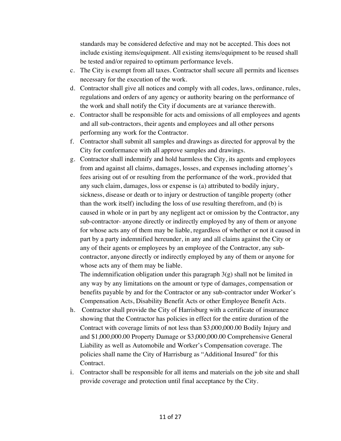standards may be considered defective and may not be accepted. This does not include existing items/equipment. All existing items/equipment to be reused shall be tested and/or repaired to optimum performance levels.

- c. The City is exempt from all taxes. Contractor shall secure all permits and licenses necessary for the execution of the work.
- d. Contractor shall give all notices and comply with all codes, laws, ordinance, rules, regulations and orders of any agency or authority bearing on the performance of the work and shall notify the City if documents are at variance therewith.
- e. Contractor shall be responsible for acts and omissions of all employees and agents and all sub-contractors, their agents and employees and all other persons performing any work for the Contractor.
- f. Contractor shall submit all samples and drawings as directed for approval by the City for conformance with all approve samples and drawings.
- g. Contractor shall indemnify and hold harmless the City, its agents and employees from and against all claims, damages, losses, and expenses including attorney's fees arising out of or resulting from the performance of the work, provided that any such claim, damages, loss or expense is (a) attributed to bodily injury, sickness, disease or death or to injury or destruction of tangible property (other than the work itself) including the loss of use resulting therefrom, and (b) is caused in whole or in part by any negligent act or omission by the Contractor, any sub-contractor- anyone directly or indirectly employed by any of them or anyone for whose acts any of them may be liable, regardless of whether or not it caused in part by a party indemnified hereunder, in any and all claims against the City or any of their agents or employees by an employee of the Contractor, any subcontractor, anyone directly or indirectly employed by any of them or anyone for whose acts any of them may be liable.

The indemnification obligation under this paragraph  $3(g)$  shall not be limited in any way by any limitations on the amount or type of damages, compensation or benefits payable by and for the Contractor or any sub-contractor under Worker's Compensation Acts, Disability Benefit Acts or other Employee Benefit Acts.

- h. Contractor shall provide the City of Harrisburg with a certificate of insurance showing that the Contractor has policies in effect for the entire duration of the Contract with coverage limits of not less than \$3,000,000.00 Bodily Injury and and \$1,000,000.00 Property Damage or \$3,000,000.00 Comprehensive General Liability as well as Automobile and Worker's Compensation coverage. The policies shall name the City of Harrisburg as "Additional Insured" for this Contract.
- i. Contractor shall be responsible for all items and materials on the job site and shall provide coverage and protection until final acceptance by the City.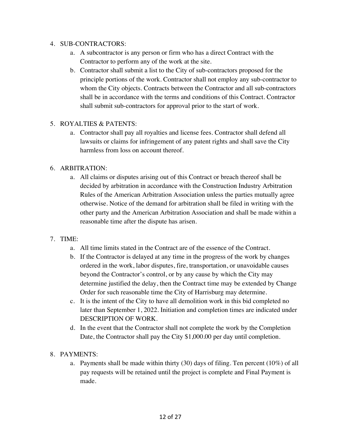#### 4. SUB-CONTRACTORS:

- a. A subcontractor is any person or firm who has a direct Contract with the Contractor to perform any of the work at the site.
- b. Contractor shall submit a list to the City of sub-contractors proposed for the principle portions of the work. Contractor shall not employ any sub-contractor to whom the City objects. Contracts between the Contractor and all sub-contractors shall be in accordance with the terms and conditions of this Contract. Contractor shall submit sub-contractors for approval prior to the start of work.
- 5. ROYALTIES & PATENTS:
	- a. Contractor shall pay all royalties and license fees. Contractor shall defend all lawsuits or claims for infringement of any patent rights and shall save the City harmless from loss on account thereof.

## 6. ARBITRATION:

- a. All claims or disputes arising out of this Contract or breach thereof shall be decided by arbitration in accordance with the Construction Industry Arbitration Rules of the American Arbitration Association unless the parties mutually agree otherwise. Notice of the demand for arbitration shall be filed in writing with the other party and the American Arbitration Association and shall be made within a reasonable time after the dispute has arisen.
- 7. TIME:
	- a. All time limits stated in the Contract are of the essence of the Contract.
	- b. If the Contractor is delayed at any time in the progress of the work by changes ordered in the work, labor disputes, fire, transportation, or unavoidable causes beyond the Contractor's control, or by any cause by which the City may determine justified the delay, then the Contract time may be extended by Change Order for such reasonable time the City of Harrisburg may determine.
	- c. It is the intent of the City to have all demolition work in this bid completed no later than September 1, 2022. Initiation and completion times are indicated under DESCRIPTION OF WORK.
	- d. In the event that the Contractor shall not complete the work by the Completion Date, the Contractor shall pay the City \$1,000.00 per day until completion.

## 8. PAYMENTS:

a. Payments shall be made within thirty (30) days of filing. Ten percent (10%) of all pay requests will be retained until the project is complete and Final Payment is made.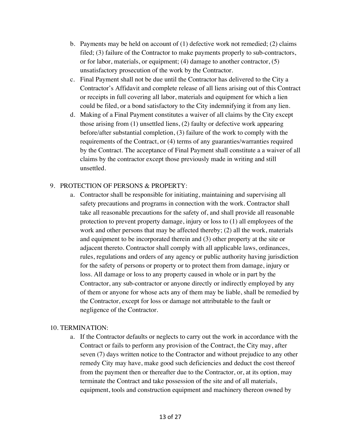- b. Payments may be held on account of  $(1)$  defective work not remedied;  $(2)$  claims filed; (3) failure of the Contractor to make payments properly to sub-contractors, or for labor, materials, or equipment; (4) damage to another contractor, (5) unsatisfactory prosecution of the work by the Contractor.
- c. Final Payment shall not be due until the Contractor has delivered to the City a Contractor's Affidavit and complete release of all liens arising out of this Contract or receipts in full covering all labor, materials and equipment for which a lien could be filed, or a bond satisfactory to the City indemnifying it from any lien.
- d. Making of a Final Payment constitutes a waiver of all claims by the City except those arising from (1) unsettled liens, (2) faulty or defective work appearing before/after substantial completion, (3) failure of the work to comply with the requirements of the Contract, or (4) terms of any guaranties/warranties required by the Contract. The acceptance of Final Payment shall constitute a a waiver of all claims by the contractor except those previously made in writing and still unsettled.

## 9. PROTECTION OF PERSONS & PROPERTY:

a. Contractor shall be responsible for initiating, maintaining and supervising all safety precautions and programs in connection with the work. Contractor shall take all reasonable precautions for the safety of, and shall provide all reasonable protection to prevent property damage, injury or loss to (1) all employees of the work and other persons that may be affected thereby; (2) all the work, materials and equipment to be incorporated therein and (3) other property at the site or adjacent thereto. Contractor shall comply with all applicable laws, ordinances, rules, regulations and orders of any agency or public authority having jurisdiction for the safety of persons or property or to protect them from damage, injury or loss. All damage or loss to any property caused in whole or in part by the Contractor, any sub-contractor or anyone directly or indirectly employed by any of them or anyone for whose acts any of them may be liable, shall be remedied by the Contractor, except for loss or damage not attributable to the fault or negligence of the Contractor.

## 10. TERMINATION:

a. If the Contractor defaults or neglects to carry out the work in accordance with the Contract or fails to perform any provision of the Contract, the City may, after seven (7) days written notice to the Contractor and without prejudice to any other remedy City may have, make good such deficiencies and deduct the cost thereof from the payment then or thereafter due to the Contractor, or, at its option, may terminate the Contract and take possession of the site and of all materials, equipment, tools and construction equipment and machinery thereon owned by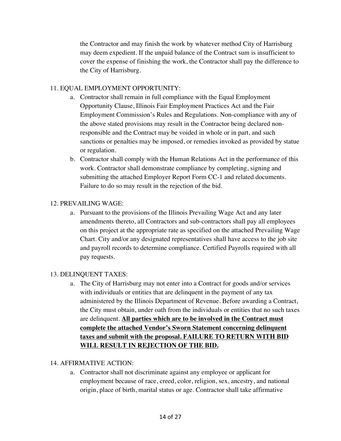the Contractor and may finish the work by whatever method City of Harrisburg may deem expedient. If the unpaid balance of the Contract sum is insufficient to cover the expense of finishing the work, the Contractor shall pay the difference to the City of Harrisburg.

## 11. EQUAL EMPLOYMENT OPPORTUNITY:

- a. Contractor shall remain in full compliance with the Equal Employment Opportunity Clause, Illinois Fair Employment Practices Act and the Fair Employment Commission's Rules and Regulations. Non-compliance with any of the above stated provisions may result in the Contractor being declared nonresponsible and the Contract may be voided in whole or in part, and such sanctions or penalties may be imposed, or remedies invoked as provided by statue or regulation.
- b. Contractor shall comply with the Human Relations Act in the performance of this work. Contractor shall demonstrate compliance by completing, signing and submitting the attached Employer Report Form CC-1 and related documents. Failure to do so may result in the rejection of the bid.

## 12. PREVAILING WAGE:

a. Pursuant to the provisions of the Illinois Prevailing Wage Act and any later amendments thereto, all Contractors and sub-contractors shall pay all employees on this project at the appropriate rate as specified on the attached Prevailing Wage Chart. City and/or any designated representatives shall have access to the job site and payroll records to determine compliance. Certified Payrolls required with all pay requests.

## 13. DELINQUENT TAXES:

a. The City of Harrisburg may not enter into a Contract for goods and/or services with individuals or entities that are delinquent in the payment of any tax administered by the Illinois Department of Revenue. Before awarding a Contract, the City must obtain, under oath from the individuals or entities that no such taxes are delinquent. **All parties which are to be involved in the Contract must complete the attached Vendor's Sworn Statement concerning delinquent taxes and submit with the proposal. FAILURE TO RETURN WITH BID WILL RESULT IN REJECTION OF THE BID.** 

## 14. AFFIRMATIVE ACTION:

a. Contractor shall not discriminate against any employee or applicant for employment because of race, creed, color, religion, sex, ancestry, and national origin, place of birth, marital status or age. Contractor shall take affirmative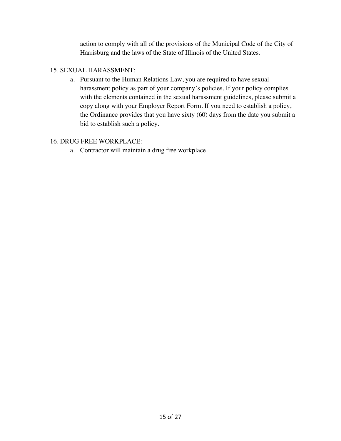action to comply with all of the provisions of the Municipal Code of the City of Harrisburg and the laws of the State of Illinois of the United States.

## 15. SEXUAL HARASSMENT:

a. Pursuant to the Human Relations Law, you are required to have sexual harassment policy as part of your company's policies. If your policy complies with the elements contained in the sexual harassment guidelines, please submit a copy along with your Employer Report Form. If you need to establish a policy, the Ordinance provides that you have sixty (60) days from the date you submit a bid to establish such a policy.

## 16. DRUG FREE WORKPLACE:

a. Contractor will maintain a drug free workplace.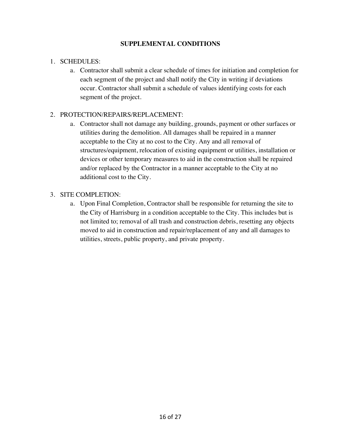#### **SUPPLEMENTAL CONDITIONS**

#### 1. SCHEDULES:

a. Contractor shall submit a clear schedule of times for initiation and completion for each segment of the project and shall notify the City in writing if deviations occur. Contractor shall submit a schedule of values identifying costs for each segment of the project.

## 2. PROTECTION/REPAIRS/REPLACEMENT:

a. Contractor shall not damage any building, grounds, payment or other surfaces or utilities during the demolition. All damages shall be repaired in a manner acceptable to the City at no cost to the City. Any and all removal of structures/equipment, relocation of existing equipment or utilities, installation or devices or other temporary measures to aid in the construction shall be repaired and/or replaced by the Contractor in a manner acceptable to the City at no additional cost to the City.

## 3. SITE COMPLETION:

a. Upon Final Completion, Contractor shall be responsible for returning the site to the City of Harrisburg in a condition acceptable to the City. This includes but is not limited to; removal of all trash and construction debris, resetting any objects moved to aid in construction and repair/replacement of any and all damages to utilities, streets, public property, and private property.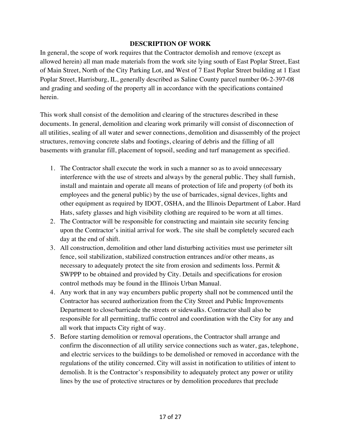#### **DESCRIPTION OF WORK**

In general, the scope of work requires that the Contractor demolish and remove (except as allowed herein) all man made materials from the work site lying south of East Poplar Street, East of Main Street, North of the City Parking Lot, and West of 7 East Poplar Street building at 1 East Poplar Street, Harrisburg, IL, generally described as Saline County parcel number 06-2-397-08 and grading and seeding of the property all in accordance with the specifications contained herein.

This work shall consist of the demolition and clearing of the structures described in these documents. In general, demolition and clearing work primarily will consist of disconnection of all utilities, sealing of all water and sewer connections, demolition and disassembly of the project structures, removing concrete slabs and footings, clearing of debris and the filling of all basements with granular fill, placement of topsoil, seeding and turf management as specified.

- 1. The Contractor shall execute the work in such a manner so as to avoid unnecessary interference with the use of streets and always by the general public. They shall furnish, install and maintain and operate all means of protection of life and property (of both its employees and the general public) by the use of barricades, signal devices, lights and other equipment as required by IDOT, OSHA, and the Illinois Department of Labor. Hard Hats, safety glasses and high visibility clothing are required to be worn at all times.
- 2. The Contractor will be responsible for constructing and maintain site security fencing upon the Contractor's initial arrival for work. The site shall be completely secured each day at the end of shift.
- 3. All construction, demolition and other land disturbing activities must use perimeter silt fence, soil stabilization, stabilized construction entrances and/or other means, as necessary to adequately protect the site from erosion and sediments loss. Permit & SWPPP to be obtained and provided by City. Details and specifications for erosion control methods may be found in the Illinois Urban Manual.
- 4. Any work that in any way encumbers public property shall not be commenced until the Contractor has secured authorization from the City Street and Public Improvements Department to close/barricade the streets or sidewalks. Contractor shall also be responsible for all permitting, traffic control and coordination with the City for any and all work that impacts City right of way.
- 5. Before starting demolition or removal operations, the Contractor shall arrange and confirm the disconnection of all utility service connections such as water, gas, telephone, and electric services to the buildings to be demolished or removed in accordance with the regulations of the utility concerned. City will assist in notification to utilities of intent to demolish. It is the Contractor's responsibility to adequately protect any power or utility lines by the use of protective structures or by demolition procedures that preclude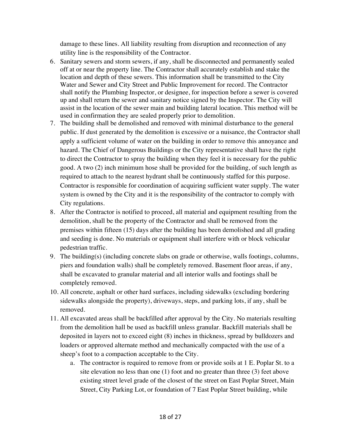damage to these lines. All liability resulting from disruption and reconnection of any utility line is the responsibility of the Contractor.

- 6. Sanitary sewers and storm sewers, if any, shall be disconnected and permanently sealed off at or near the property line. The Contractor shall accurately establish and stake the location and depth of these sewers. This information shall be transmitted to the City Water and Sewer and City Street and Public Improvement for record. The Contractor shall notify the Plumbing Inspector, or designee, for inspection before a sewer is covered up and shall return the sewer and sanitary notice signed by the Inspector. The City will assist in the location of the sewer main and building lateral location. This method will be used in confirmation they are sealed properly prior to demolition.
- 7. The building shall be demolished and removed with minimal disturbance to the general public. If dust generated by the demolition is excessive or a nuisance, the Contractor shall apply a sufficient volume of water on the building in order to remove this annoyance and hazard. The Chief of Dangerous Buildings or the City representative shall have the right to direct the Contractor to spray the building when they feel it is necessary for the public good. A two (2) inch minimum hose shall be provided for the building, of such length as required to attach to the nearest hydrant shall be continuously staffed for this purpose. Contractor is responsible for coordination of acquiring sufficient water supply. The water system is owned by the City and it is the responsibility of the contractor to comply with City regulations.
- 8. After the Contractor is notified to proceed, all material and equipment resulting from the demolition, shall be the property of the Contractor and shall be removed from the premises within fifteen (15) days after the building has been demolished and all grading and seeding is done. No materials or equipment shall interfere with or block vehicular pedestrian traffic.
- 9. The building(s) (including concrete slabs on grade or otherwise, walls footings, columns, piers and foundation walls) shall be completely removed. Basement floor areas, if any, shall be excavated to granular material and all interior walls and footings shall be completely removed.
- 10. All concrete, asphalt or other hard surfaces, including sidewalks (excluding bordering sidewalks alongside the property), driveways, steps, and parking lots, if any, shall be removed.
- 11. All excavated areas shall be backfilled after approval by the City. No materials resulting from the demolition hall be used as backfill unless granular. Backfill materials shall be deposited in layers not to exceed eight (8) inches in thickness, spread by bulldozers and loaders or approved alternate method and mechanically compacted with the use of a sheep's foot to a compaction acceptable to the City.
	- a. The contractor is required to remove from or provide soils at 1 E. Poplar St. to a site elevation no less than one (1) foot and no greater than three (3) feet above existing street level grade of the closest of the street on East Poplar Street, Main Street, City Parking Lot, or foundation of 7 East Poplar Street building, while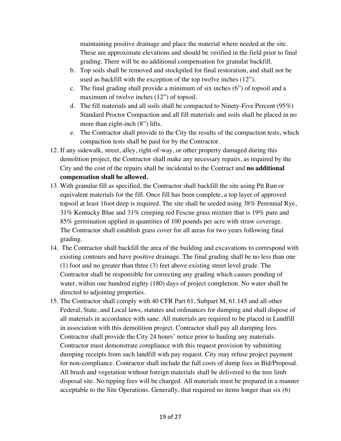maintaining positive drainage and place the material where needed at the site. These are approximate elevations and should be verified in the field prior to final grading. There will be no additional compensation for granular backfill.

- b. Top soils shall be removed and stockpiled for final restoration, and shall not be used as backfill with the exception of the top twelve inches (12").
- c. The final grading shall provide a minimum of six inches (6") of topsoil and a maximum of twelve inches (12") of topsoil.
- d. The fill materials and all soils shall be compacted to Ninety-Five Percent (95%) Standard Proctor Compaction and all fill materials and soils shall be placed in no more than eight-inch (8") lifts.
- e. The Contractor shall provide to the City the results of the compaction tests, which compaction tests shall be paid for by the Contractor.
- 12. If any sidewalk, street, alley, right-of-way, or other property damaged during this demolition project, the Contractor shall make any necessary repairs, as required by the City and the cost of the repairs shall be incidental to the Contract and **no additional compensation shall be allowed.**
- 13. With granular fill as specified, the Contractor shall backfill the site using Pit Run or equivalent materials for the fill. Once fill has been complete, a top layer of approved topsoil at least 1foot deep is required. The site shall be seeded using 38% Perennial Rye, 31% Kentucky Blue and 31% creeping red Fescue grass mixture that is 19% pure and 85% germination applied in quantities of 100 pounds per acre with straw coverage. The Contractor shall establish grass cover for all areas for two years following final grading.
- 14. The Contractor shall backfill the area of the building and excavations to correspond with existing contours and have positive drainage. The final grading shall be no less than one (1) foot and no greater than three (3) feet above existing street level grade. The Contractor shall be responsible for correcting any grading which causes ponding of water, within one hundred eighty (180) days of project completion. No water shall be directed to adjoining properties.
- 15. The Contractor shall comply with 40 CFR Part 61, Subpart M, 61.145 and all other Federal, State, and Local laws, statutes and ordinances for dumping and shall dispose of all materials in accordance with sane. All materials are required to be placed in Landfill in association with this demolition project. Contractor shall pay all dumping fees. Contractor shall provide the City 24 hours' notice prior to hauling any materials. Contractor must demonstrate compliance with this request provision by submitting dumping receipts from such landfill with pay request. City may refuse project payment for non-compliance. Contractor shall include the full costs of dump fees in Bid/Proposal. All brush and vegetation without foreign materials shall be delivered to the tree limb disposal site. No tipping fees will be charged. All materials must be prepared in a manner acceptable to the Site Operations. Generally, that required no items longer than six (6)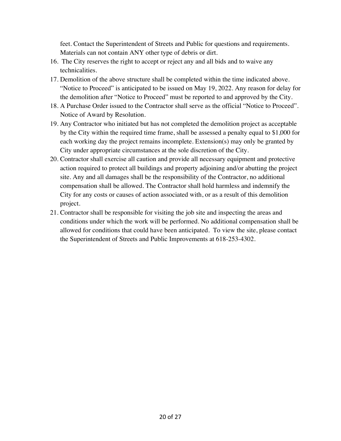feet. Contact the Superintendent of Streets and Public for questions and requirements. Materials can not contain ANY other type of debris or dirt.

- 16. The City reserves the right to accept or reject any and all bids and to waive any technicalities.
- 17. Demolition of the above structure shall be completed within the time indicated above. "Notice to Proceed" is anticipated to be issued on May 19, 2022. Any reason for delay for the demolition after "Notice to Proceed" must be reported to and approved by the City.
- 18. A Purchase Order issued to the Contractor shall serve as the official "Notice to Proceed". Notice of Award by Resolution.
- 19. Any Contractor who initiated but has not completed the demolition project as acceptable by the City within the required time frame, shall be assessed a penalty equal to \$1,000 for each working day the project remains incomplete. Extension(s) may only be granted by City under appropriate circumstances at the sole discretion of the City.
- 20. Contractor shall exercise all caution and provide all necessary equipment and protective action required to protect all buildings and property adjoining and/or abutting the project site. Any and all damages shall be the responsibility of the Contractor, no additional compensation shall be allowed. The Contractor shall hold harmless and indemnify the City for any costs or causes of action associated with, or as a result of this demolition project.
- 21. Contractor shall be responsible for visiting the job site and inspecting the areas and conditions under which the work will be performed. No additional compensation shall be allowed for conditions that could have been anticipated. To view the site, please contact the Superintendent of Streets and Public Improvements at 618-253-4302.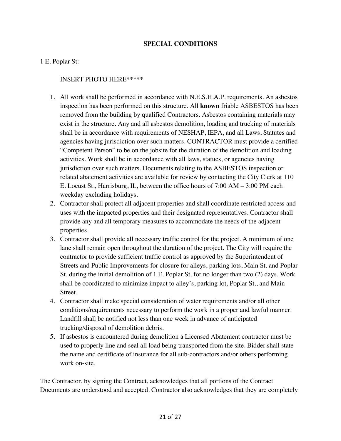#### **SPECIAL CONDITIONS**

#### 1 E. Poplar St:

#### INSERT PHOTO HERE\*\*\*\*\*

- 1. All work shall be performed in accordance with N.E.S.H.A.P. requirements. An asbestos inspection has been performed on this structure. All **known** friable ASBESTOS has been removed from the building by qualified Contractors. Asbestos containing materials may exist in the structure. Any and all asbestos demolition, loading and trucking of materials shall be in accordance with requirements of NESHAP, IEPA, and all Laws, Statutes and agencies having jurisdiction over such matters. CONTRACTOR must provide a certified "Competent Person" to be on the jobsite for the duration of the demolition and loading activities. Work shall be in accordance with all laws, statues, or agencies having jurisdiction over such matters. Documents relating to the ASBESTOS inspection or related abatement activities are available for review by contacting the City Clerk at 110 E. Locust St., Harrisburg, IL, between the office hours of 7:00 AM – 3:00 PM each weekday excluding holidays.
- 2. Contractor shall protect all adjacent properties and shall coordinate restricted access and uses with the impacted properties and their designated representatives. Contractor shall provide any and all temporary measures to accommodate the needs of the adjacent properties.
- 3. Contractor shall provide all necessary traffic control for the project. A minimum of one lane shall remain open throughout the duration of the project. The City will require the contractor to provide sufficient traffic control as approved by the Superintendent of Streets and Public Improvements for closure for alleys, parking lots, Main St. and Poplar St. during the initial demolition of 1 E. Poplar St. for no longer than two (2) days. Work shall be coordinated to minimize impact to alley's, parking lot, Poplar St., and Main Street.
- 4. Contractor shall make special consideration of water requirements and/or all other conditions/requirements necessary to perform the work in a proper and lawful manner. Landfill shall be notified not less than one week in advance of anticipated trucking/disposal of demolition debris.
- 5. If asbestos is encountered during demolition a Licensed Abatement contractor must be used to properly line and seal all load being transported from the site. Bidder shall state the name and certificate of insurance for all sub-contractors and/or others performing work on-site.

The Contractor, by signing the Contract, acknowledges that all portions of the Contract Documents are understood and accepted. Contractor also acknowledges that they are completely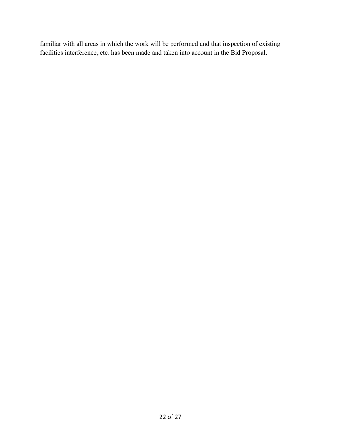familiar with all areas in which the work will be performed and that inspection of existing facilities interference, etc. has been made and taken into account in the Bid Proposal.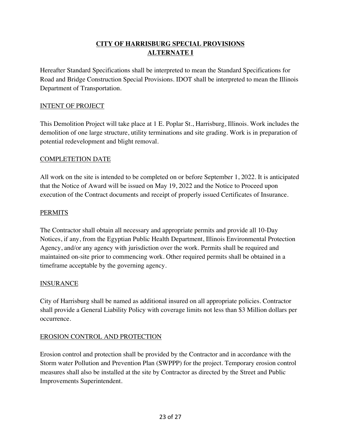## **CITY OF HARRISBURG SPECIAL PROVISIONS ALTERNATE I**

Hereafter Standard Specifications shall be interpreted to mean the Standard Specifications for Road and Bridge Construction Special Provisions. IDOT shall be interpreted to mean the Illinois Department of Transportation.

## INTENT OF PROJECT

This Demolition Project will take place at 1 E. Poplar St., Harrisburg, Illinois. Work includes the demolition of one large structure, utility terminations and site grading. Work is in preparation of potential redevelopment and blight removal.

## COMPLETETION DATE

All work on the site is intended to be completed on or before September 1, 2022. It is anticipated that the Notice of Award will be issued on May 19, 2022 and the Notice to Proceed upon execution of the Contract documents and receipt of properly issued Certificates of Insurance.

## PERMITS

The Contractor shall obtain all necessary and appropriate permits and provide all 10-Day Notices, if any, from the Egyptian Public Health Department, Illinois Environmental Protection Agency, and/or any agency with jurisdiction over the work. Permits shall be required and maintained on-site prior to commencing work. Other required permits shall be obtained in a timeframe acceptable by the governing agency.

## INSURANCE

City of Harrisburg shall be named as additional insured on all appropriate policies. Contractor shall provide a General Liability Policy with coverage limits not less than \$3 Million dollars per occurrence.

## EROSION CONTROL AND PROTECTION

Erosion control and protection shall be provided by the Contractor and in accordance with the Storm water Pollution and Prevention Plan (SWPPP) for the project. Temporary erosion control measures shall also be installed at the site by Contractor as directed by the Street and Public Improvements Superintendent.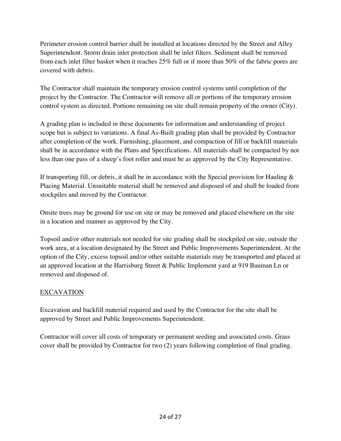Perimeter erosion control barrier shall be installed at locations directed by the Street and Alley Superintendent. Storm drain inlet protection shall be inlet filters. Sediment shall be removed from each inlet filter basket when it reaches 25% full or if more than 50% of the fabric pores are covered with debris.

The Contractor shall maintain the temporary erosion control systems until completion of the project by the Contractor. The Contractor will remove all or portions of the temporary erosion control system as directed. Portions remaining on site shall remain property of the owner (City).

A grading plan is included in these documents for information and understanding of project scope but is subject to variations. A final As-Built grading plan shall be provided by Contractor after completion of the work. Furnishing, placement, and compaction of fill or backfill materials shall be in accordance with the Plans and Specifications. All materials shall be compacted by not less than one pass of a sheep's foot roller and must be as approved by the City Representative.

If transporting fill, or debris, it shall be in accordance with the Special provision for Hauling  $\&$ Placing Material. Unsuitable material shall be removed and disposed of and shall be loaded from stockpiles and moved by the Contractor.

Onsite trees may be ground for use on site or may be removed and placed elsewhere on the site in a location and manner as approved by the City.

Topsoil and/or other materials not needed for site grading shall be stockpiled on site, outside the work area, at a location designated by the Street and Public Improvements Superintendent. At the option of the City, excess topsoil and/or other suitable materials may be transported and placed at an approved location at the Harrisburg Street & Public Implement yard at 919 Bauman Ln or removed and disposed of.

## EXCAVATION

Excavation and backfill material required and used by the Contractor for the site shall be approved by Street and Public Improvements Superintendent.

Contractor will cover all costs of temporary or permanent seeding and associated costs. Grass cover shall be provided by Contractor for two (2) years following completion of final grading.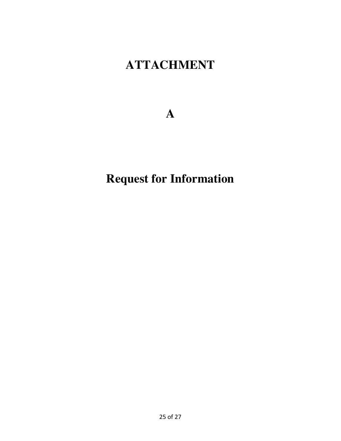## **ATTACHMENT**

## **A**

# **Request for Information**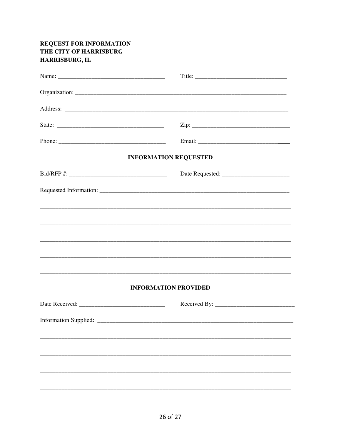## REQUEST FOR INFORMATION THE CITY OF HARRISBURG HARRISBURG, IL

| <b>INFORMATION REQUESTED</b> |
|------------------------------|
|                              |
|                              |
|                              |
|                              |
|                              |
|                              |
|                              |
| <b>INFORMATION PROVIDED</b>  |
|                              |
|                              |
|                              |
|                              |
|                              |
|                              |